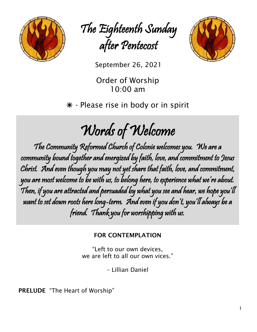

The Eighteenth Sunday after Pentecost



September 26, <sup>2021</sup>

Order of Worship 10:00 am

 $*$  - Please rise in body or in spirit

# Words of Welcome

The Community Reformed Church of Colonie welcomes you. We are a community bound together and energized by faith, love, and commitment to Jesus Christ. And even though you may not yet share that faith, love, and commitment, you are most welcome to be with us, to belong here, to experience what we're about. Then, if you are attracted and persuaded by what you see and hear, we hope you'll want to set down roots here long-term. And even if you don't, you'll always be a friend. Thank you for worshipping with us.

# FOR CONTEMPLATION

"Left to our own devices, we are left to all our own vices."

– Lillian Daniel

PRELUDE "The Heart of Worship"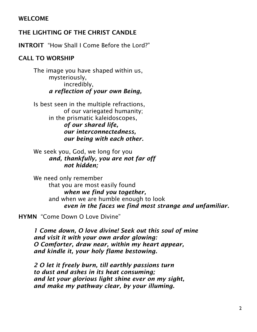# WELCOME

# THE LIGHTING OF THE CHRIST CANDLE

INTROIT "How Shall I Come Before the Lord?"

# CALL TO WORSHIP

The image you have shaped within us, mysteriously, incredibly, *a reflection of your own Being,*

Is best seen in the multiple refractions, of our variegated humanity; in the prismatic kaleidoscopes, *of our shared life, our interconnectedness, our being with each other.*

We seek you, God, we long for you *and, thankfully, you are not far off not hidden;*

We need only remember that you are most easily found *when we find you together,* and when we are humble enough to look *even in the faces we find most strange and unfamiliar.*

HYMN "Come Down O Love Divine"

*1 Come down, O love divine! Seek out this soul of mine and visit it with your own ardor glowing: O Comforter, draw near, within my heart appear, and kindle it, your holy flame bestowing.*

*2 O let it freely burn, till earthly passions turn to dust and ashes in its heat consuming; and let your glorious light shine ever on my sight, and make my pathway clear, by your illuming.*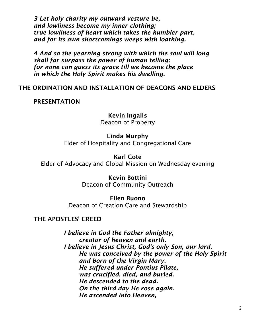*3 Let holy charity my outward vesture be, and lowliness become my inner clothing; true lowliness of heart which takes the humbler part, and for its own shortcomings weeps with loathing.*

*4 And so the yearning strong with which the soul will long shall far surpass the power of human telling; for none can guess its grace till we become the place in which the Holy Spirit makes his dwelling.*

#### THE ORDINATION AND INSTALLATION OF DEACONS AND ELDERS

#### PRESENTATION

Kevin Ingalls Deacon of Property

#### Linda Murphy

Elder of Hospitality and Congregational Care

Karl Cote Elder of Advocacy and Global Mission on Wednesday evening

> Kevin Bottini Deacon of Community Outreach

Ellen Buono Deacon of Creation Care and Stewardship

#### THE APOSTLES' CREED

*I believe in God the Father almighty, creator of heaven and earth. I believe in Jesus Christ, God's only Son, our lord. He was conceived by the power of the Holy Spirit and born of the Virgin Mary. He suffered under Pontius Pilate, was crucified, died, and buried. He descended to the dead. On the third day He rose again. He ascended into Heaven,*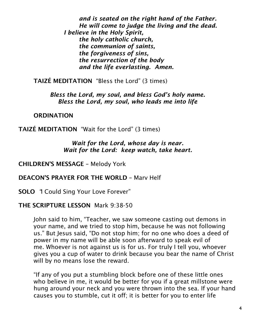*and is seated on the right hand of the Father. He will come to judge the living and the dead. I believe in the Holy Spirit, the holy catholic church, the communion of saints, the forgiveness of sins, the resurrection of the body and the life everlasting. Amen.*

TAIZÉ MEDITATION "Bless the Lord" (3 times)

*Bless the Lord, my soul, and bless God's holy name. Bless the Lord, my soul, who leads me into life*

**ORDINATION** 

TAIZÉ MEDITATION "Wait for the Lord" (3 times)

*Wait for the Lord, whose day is near. Wait for the Lord: keep watch, take heart.*

CHILDREN'S MESSAGE – Melody York

DEACON'S PRAYER FOR THE WORLD – Marv Helf

SOLO *"*I Could Sing Your Love Forever"

# THE SCRIPTURE LESSON Mark 9:38-50

John said to him, "Teacher, we saw someone casting out demons in your name, and we tried to stop him, because he was not following us." But Jesus said, "Do not stop him; for no one who does a deed of power in my name will be able soon afterward to speak evil of me. Whoever is not against us is for us. For truly I tell you, whoever gives you a cup of water to drink because you bear the name of Christ will by no means lose the reward.

"If any of you put a stumbling block before one of these little ones who believe in me, it would be better for you if a great millstone were hung around your neck and you were thrown into the sea. If your hand causes you to stumble, cut it off; it is better for you to enter life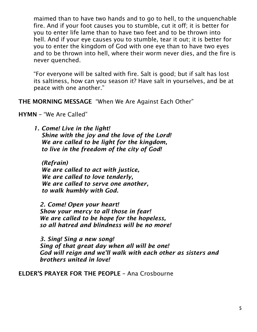maimed than to have two hands and to go to hell, to the unquenchable fire. And if your foot causes you to stumble, cut it off; it is better for you to enter life lame than to have two feet and to be thrown into hell. And if your eye causes you to stumble, tear it out; it is better for you to enter the kingdom of God with one eye than to have two eyes and to be thrown into hell, where their worm never dies, and the fire is never quenched.

"For everyone will be salted with fire. Salt is good; but if salt has lost its saltiness, how can you season it? Have salt in yourselves, and be at peace with one another."

THE MORNING MESSAGE "When We Are Against Each Other"

HYMN – "We Are Called"

*1. Come! Live in the light! Shine with the joy and the love of the Lord! We are called to be light for the kingdom, to live in the freedom of the city of God!*

*(Refrain) We are called to act with justice, We are called to love tenderly, We are called to serve one another, to walk humbly with God.*

*2. Come! Open your heart! Show your mercy to all those in fear! We are called to be hope for the hopeless, so all hatred and blindness will be no more!*

*3. Sing! Sing a new song! Sing of that great day when all will be one! God will reign and we'll walk with each other as sisters and brothers united in love!*

ELDER'S PRAYER FOR THE PEOPLE – Ana Crosbourne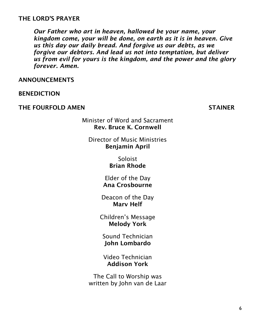### THE LORD'S PRAYER

*Our Father who art in heaven, hallowed be your name, your kingdom come, your will be done, on earth as it is in heaven. Give us this day our daily bread. And forgive us our debts, as we forgive our debtors. And lead us not into temptation, but deliver us from evil for yours is the kingdom, and the power and the glory forever. Amen.*

ANNOUNCEMENTS

BENEDICTION

THE FOURFOLD AMEN STAINER

Minister of Word and Sacrament Rev. Bruce K. Cornwell

Director of Music Ministries Benjamin April

> Soloist Brian Rhode

Elder of the Day Ana Crosbourne

Deacon of the Day Marv Helf

Children's Message Melody York

Sound Technician John Lombardo

Video Technician Addison York

The Call to Worship was written by John van de Laar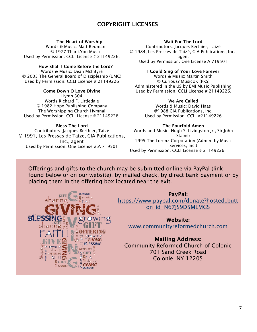#### COPYRIGHT LICENSES

#### The Heart of Worship

Words & Music: Matt Redman © 1977 ThankYou Music Used by Permission. CCLI License # 21149226.

#### How Shall I Come Before the Lord?

Words & Music: Dean McIntyre © 2005 The General Board of Discipleship (UMC) Used by Permission. CCLI License # 21149226

#### Come Down O Love Divine

Hymn 304 Words Richard F. Littledale © 1982 Hope Publishing Company The Worshipping Church Hymnal Used by Permission. CCLI License # 21149226.

#### Bless The Lord

Contributors: Jacques Berthier, Taizé © 1991, Les Presses de Taizé, GIA Publications, Inc., agent Used by Permission. One License #.A 719501

#### Wait For The Lord

Contributors: Jacques Berthier, Taizé © 1984, Les Presses de Taizé, GIA Publications, Inc., agent Used by Permission: One License A 719501

#### I Could Sing of Your Love Forever Words & Music: Martin Smith

© Curious? MusicUK (PRS) Administered in the US by EMI Music Publishing Used by Permission. CCLI License # 21149226.

#### We Are Called

Words & Music: David Haas @1988 GIA Publications, Inc. Used by Permission. CCLI #21149226

#### The Fourfold Amen Words and Music: Hugh S. Livingston Jr., Sir John

Stainer 1995 The Lorenz Corporation (Admin. by Music Services, Inc.) Used by Permission. CCLI License # 21149226

Offerings and gifts to the church may be submitted online via PayPal (link found below or on our website), by mailed check, by direct bank payment or by placing them in the offering box located near the exit.



#### PayPal: [https://www.paypal.com/donate?hosted\\_butt](https://www.paypal.com/donate?hosted_button_id=N67JS9D5MLMGS)

[on\\_id=N67JS9D5MLMGS](https://www.paypal.com/donate?hosted_button_id=N67JS9D5MLMGS)

Website: [www.communityreformedchurch.com](http://www.communityreformedchurch.com/)

#### Mailing Address: Community Reformed Church of Colonie 701 Sand Creek Road Colonie, NY 12205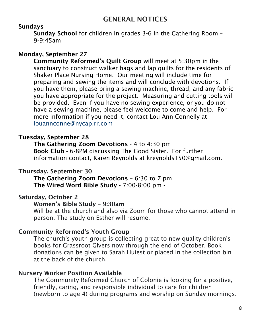# GENERAL NOTICES

# Sundays

Sunday School for children in grades 3-6 in the Gathering Room – 9-9:45am

# Monday, September 27

Community Reformed's Quilt Group will meet at 5:30pm in the sanctuary to construct walker bags and lap quilts for the residents of Shaker Place Nursing Home. Our meeting will include time for preparing and sewing the items and will conclude with devotions. If you have them, please bring a sewing machine, thread, and any fabric you have appropriate for the project. Measuring and cutting tools will be provided. Even if you have no sewing experience, or you do not have a sewing machine, please feel welcome to come and help. For more information if you need it, contact Lou Ann Connelly at [louannconne@nycap.rr.com](mailto:louannconne@nycap.rr.com)

# Tuesday, September 28

The Gathering Zoom Devotions - 4 to 4:30 pm Book Club - 6-8PM discussing The Good Sister. For further information contact, Karen Reynolds at kreynolds150@gmail.com.

# Thursday, September 30

The Gathering Zoom Devotions – 6:30 to 7 pm The Wired Word Bible Study - 7:00-8:00 pm -

# Saturday, October 2

### Women's Bible Study – 9:30am

Will be at the church and also via Zoom for those who cannot attend in person. The study on Esther will resume.

#### Community Reformed's Youth Group

The church's youth group is collecting great to new quality children's books for Grassroot Givers now through the end of October. Book donations can be given to Sarah Huiest or placed in the collection bin at the back of the church.

#### Nursery Worker Position Available

The Community Reformed Church of Colonie is looking for a positive, friendly, caring, and responsible individual to care for children (newborn to age 4) during programs and worship on Sunday mornings.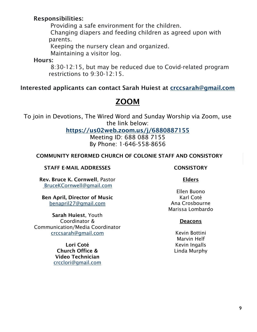# Responsibilities:

Providing a safe environment for the children.

Changing diapers and feeding children as agreed upon with parents.

Keeping the nursery clean and organized.

Maintaining a visitor log.

Hours:

8:30-12:15, but may be reduced due to Covid-related program restrictions to 9:30-12:15.

# Interested applicants can contact Sarah Huiest at [crccsarah@gmail.com](mailto:crccsarah@gmail.com)

# ZOOM

To join in Devotions, The Wired Word and Sunday Worship via Zoom, use the link below:

<https://us02web.zoom.us/j/6880887155>

Meeting ID: 688 088 7155 By Phone: 1-646-558-8656

#### COMMUNITY REFORMED CHURCH OF COLONIE STAFF AND CONSISTORY

#### STAFF E-MAIL ADDRESSES CONSISTORY

Rev. Bruce K. Cornwell, Pastor [BruceKCornwell@gmail.com](mailto:BruceKCornwell@gmail.com)

Ben April, Director of Music benapril27@gmail.com

Sarah Huiest, Youth Coordinator & Communication/Media Coordinator [crccsarah@gmail.com](mailto:crccsarah@gmail.com)

> Lori Coté Church Office & Video Technician [crcclori@gmail.com](mailto:crcclori@gmail.com)

#### Elders

Ellen Buono Karl Coté Ana Crosbourne Marissa Lombardo

#### **Deacons**

Kevin Bottini Marvin Helf Kevin Ingalls Linda Murphy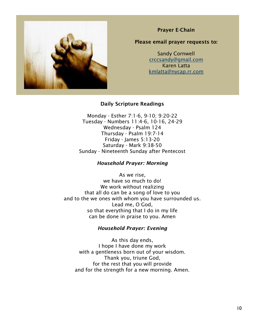

Prayer E-Chain

#### Please email prayer requests to:

Sandy Cornwell [crccsandy@gmail.com](mailto:crccsandy@gmail.com) Karen Latta [kmlatta@nycap.rr.com](mailto:kmlatta@nycap.rr.com)

#### Daily Scripture Readings

Monday - Esther 7:1-6, 9-10; 9:20-22 Tuesday - Numbers 11:4-6, 10-16, 24-29 Wednesday - Psalm 124 Thursday - Psalm 19:7-14 Friday - James 5:13-20 Saturday - Mark 9:38-50 Sunday - Nineteenth Sunday after Pentecost

#### *Household Prayer: Morning*

As we rise, we have so much to do! We work without realizing that all do can be a song of love to you and to the we ones with whom you have surrounded us. Lead me, O God, so that everything that I do in my life can be done in praise to you. Amen

#### *Household Prayer: Evening*

As this day ends, I hope I have done my work with a gentleness born out of your wisdom. Thank you, triune God, for the rest that you will provide and for the strength for a new morning. Amen.